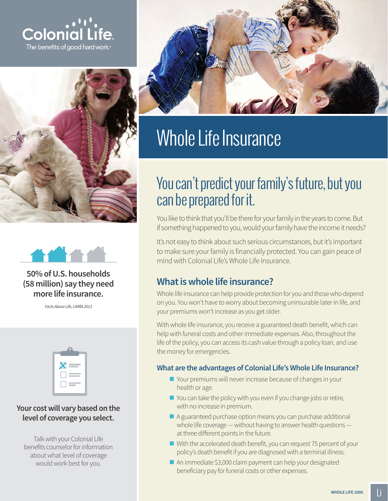





**50% of U.S. households (58 million) say they need more life insurance.**

*Facts About Life, LIMRA 2013*



#### **Your cost will vary based on the level of coverage you select.**

Talk with your Colonial Life benefits counselor for information about what level of coverage would work best for you.



# Whole Life Insurance

## You can't predict your family's future, but you can be prepared for it.

You like to think that you'll be there for your family in the years to come. But if something happened to you, would your family have the income it needs?

It's not easy to think about such serious circumstances, but it's important to make sure your family is financially protected. You can gain peace of mind with Colonial Life's Whole Life Insurance.

## **What is whole life insurance?**

Whole life insurance can help provide protection for you and those who depend on you. You won't have to worry about becoming uninsurable later in life, and your premiums won't increase as you get older.

With whole life insurance, you receive a guaranteed death benefit, which can help with funeral costs and other immediate expenses. Also, throughout the life of the policy, you can access its cash value through a policy loan, and use the money for emergencies.

#### **What are the advantages of Colonial Life's Whole Life Insurance?**

- Your premiums will never increase because of changes in your health or age.
- You can take the policy with you even if you change jobs or retire, with no increase in premium.
- A guaranteed purchase option means you can purchase additional whole life coverage — without having to answer health questions at three different points in the future.
- With the accelerated death benefit, you can request 75 percent of your policy's death benefit if you are diagnosed with a terminal illness.
- An immediate \$3,000 claim payment can help your designated beneficiary pay for funeral costs or other expenses.